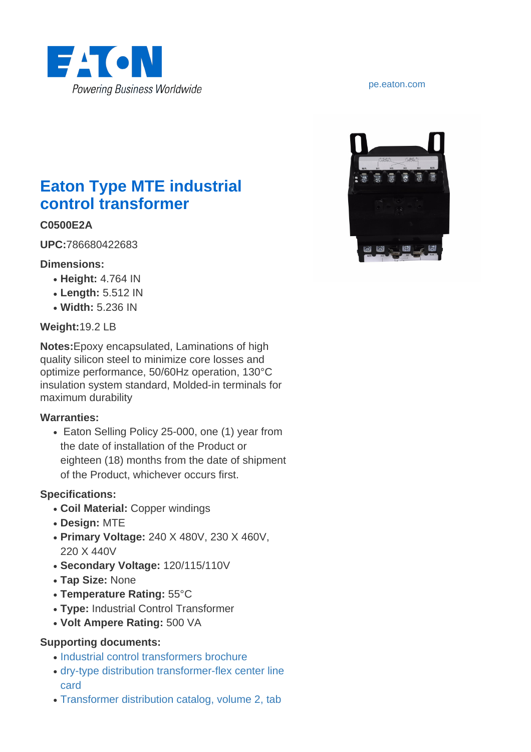

# **Eaton Type MTE industrial control transformer**

### **C0500E2A**

**UPC:**786680422683

#### **Dimensions:**

- **Height:** 4.764 IN
- **Length:** 5.512 IN
- **Width:** 5.236 IN

### **Weight:**19.2 LB

**Notes:**Epoxy encapsulated, Laminations of high quality silicon steel to minimize core losses and optimize performance, 50/60Hz operation, 130°C insulation system standard, Molded-in terminals for maximum durability

#### **Warranties:**

• Eaton Selling Policy 25-000, one (1) year from the date of installation of the Product or eighteen (18) months from the date of shipment of the Product, whichever occurs first.

#### **Specifications:**

- **Coil Material:** Copper windings
- **Design:** MTE
- **Primary Voltage:** 240 X 480V, 230 X 460V, 220 X 440V
- **Secondary Voltage:** 120/115/110V
- **Tap Size:** None
- **Temperature Rating:** 55°C
- Type: Industrial Control Transformer
- **Volt Ampere Rating:** 500 VA

#### **Supporting documents:**

- [Industrial control transformers brochure](http://www.eaton.com/ecm/idcplg?IdcService=GET_FILE&allowInterrupt=1&RevisionSelectionMethod=LatestReleased&noSaveAs=0&Rendition=Primary&dDocName=SA12139A)
- [dry-type distribution transformer-flex center line](http://www.eaton.com/ecm/idcplg?IdcService=GET_FILE&allowInterrupt=1&RevisionSelectionMethod=LatestReleased&noSaveAs=0&Rendition=Primary&dDocName=PA00912002EN) [card](http://www.eaton.com/ecm/idcplg?IdcService=GET_FILE&allowInterrupt=1&RevisionSelectionMethod=LatestReleased&noSaveAs=0&Rendition=Primary&dDocName=PA00912002EN)
- [Transformer distribution catalog, volume 2, tab](http://www.eaton.com/ecm/idcplg?IdcService=GET_FILE&allowInterrupt=1&RevisionSelectionMethod=LatestReleased&noSaveAs=0&Rendition=Primary&dDocName=VOL02_TAB02)

#### <pe.eaton.com>